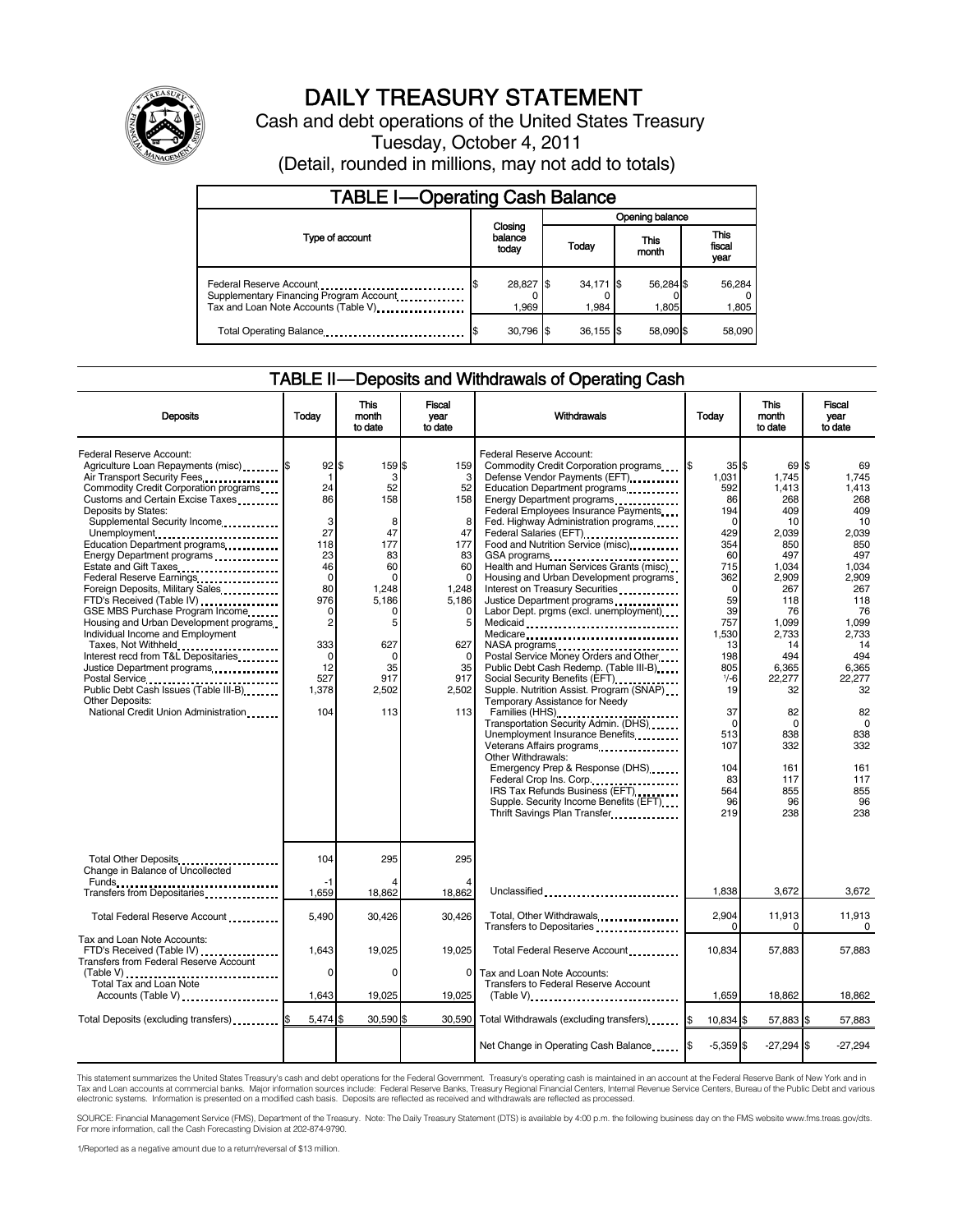

# DAILY TREASURY STATEMENT

Cash and debt operations of the United States Treasury Tuesday, October 4, 2011

(Detail, rounded in millions, may not add to totals)

| <b>TABLE I-Operating Cash Balance</b>                                                                      |                             |  |                        |                    |                        |  |  |
|------------------------------------------------------------------------------------------------------------|-----------------------------|--|------------------------|--------------------|------------------------|--|--|
|                                                                                                            |                             |  | Opening balance        |                    |                        |  |  |
| Type of account                                                                                            | Closing<br>balance<br>today |  | This<br>Today<br>month |                    | This<br>fiscal<br>year |  |  |
| Federal Reserve Account<br>Supplementary Financing Program Account<br>Tax and Loan Note Accounts (Table V) | 28,827 \$<br>1.969          |  | $34,171$ \$<br>1.984   | 56,284 \$<br>1.805 | 56,284<br>1,805        |  |  |
| Total Operating Balance                                                                                    | 30.796 \$                   |  | $36.155$ \$            | 58.090 \$          | 58.090                 |  |  |

### TABLE II — Deposits and Withdrawals of Operating Cash

|                                                                                                                                                                                                                                                                                                                                                                                                                                                                                                                                                                                                                                                                                                                                                                        |                                                                                                                                                                      | <b>This</b>                                                                                                                                    | <b>Fiscal</b>                                                                                                                                         |                                                                                                                                                                                                                                                                                                                                                                                                                                                                                                                                                                                                                                                                                                                                                                                                                                                                                                                                                                                                                                                                                                                                          |                                                                                                                                                                                                                         |                                                                                                                                                                                                                                       |                                                                                                                                                                                                                                 | <b>This</b> | <b>Fiscal</b> |
|------------------------------------------------------------------------------------------------------------------------------------------------------------------------------------------------------------------------------------------------------------------------------------------------------------------------------------------------------------------------------------------------------------------------------------------------------------------------------------------------------------------------------------------------------------------------------------------------------------------------------------------------------------------------------------------------------------------------------------------------------------------------|----------------------------------------------------------------------------------------------------------------------------------------------------------------------|------------------------------------------------------------------------------------------------------------------------------------------------|-------------------------------------------------------------------------------------------------------------------------------------------------------|------------------------------------------------------------------------------------------------------------------------------------------------------------------------------------------------------------------------------------------------------------------------------------------------------------------------------------------------------------------------------------------------------------------------------------------------------------------------------------------------------------------------------------------------------------------------------------------------------------------------------------------------------------------------------------------------------------------------------------------------------------------------------------------------------------------------------------------------------------------------------------------------------------------------------------------------------------------------------------------------------------------------------------------------------------------------------------------------------------------------------------------|-------------------------------------------------------------------------------------------------------------------------------------------------------------------------------------------------------------------------|---------------------------------------------------------------------------------------------------------------------------------------------------------------------------------------------------------------------------------------|---------------------------------------------------------------------------------------------------------------------------------------------------------------------------------------------------------------------------------|-------------|---------------|
| <b>Deposits</b>                                                                                                                                                                                                                                                                                                                                                                                                                                                                                                                                                                                                                                                                                                                                                        | Todav                                                                                                                                                                | month<br>to date                                                                                                                               | vear<br>to date                                                                                                                                       | Withdrawals                                                                                                                                                                                                                                                                                                                                                                                                                                                                                                                                                                                                                                                                                                                                                                                                                                                                                                                                                                                                                                                                                                                              | Today                                                                                                                                                                                                                   | month<br>to date                                                                                                                                                                                                                      | vear<br>to date                                                                                                                                                                                                                 |             |               |
| Federal Reserve Account:<br>Agriculture Loan Repayments (misc) \$<br>Air Transport Security Fees<br>Commodity Credit Corporation programs<br>Customs and Certain Excise Taxes<br>Deposits by States:<br>Supplemental Security Income<br>Unemployment<br>Education Department programs<br>Energy Department programs<br>Estate and Gift Taxes<br>Federal Reserve Earnings<br>Foreign Deposits, Military Sales<br>FTD's Received (Table IV)<br>GSE MBS Purchase Program Income<br>Housing and Urban Development programs<br>Individual Income and Employment<br>Taxes, Not Withheld<br>Interest recd from T&L Depositaries<br>Justice Department programs<br><br>Public Debt Cash Issues (Table III-B)<br><b>Other Deposits:</b><br>National Credit Union Administration | $92$ \$<br>-1<br>24<br>86<br>3<br>27<br>118<br>23<br>46<br>$\Omega$<br>80<br>976<br>$\mathbf 0$<br>$\overline{2}$<br>333<br>$\mathbf 0$<br>12<br>527<br>1,378<br>104 | 159 \$<br>3<br>52<br>158<br>8<br>47<br>177<br>83<br>60<br>$\Omega$<br>1,248<br>5,186<br>O<br>5<br>627<br>$\Omega$<br>35<br>917<br>2,502<br>113 | 159<br>3<br>52<br>158<br>8<br>47<br>177<br>83<br>60<br>$\Omega$<br>1,248<br>5,186<br>$\mathbf 0$<br>5<br>627<br>$\Omega$<br>35<br>917<br>2,502<br>113 | Federal Reserve Account:<br>Commodity Credit Corporation programs<br>Defense Vendor Payments (EFT)<br>Education Department programs<br>Energy Department programs<br>Federal Employees Insurance Payments<br>Fed. Highway Administration programs<br>Federal Salaries (EFT)<br>1991 - Pateral Salaries (EFT)<br>Food and Nutrition Service (misc)<br>GSA programs<br>Health and Human Services Grants (misc)<br>Housing and Urban Development programs<br>Interest on Treasury Securities<br>Justice Department programs<br>Labor Dept. prgms (excl. unemployment)<br>Medicaid<br>Medicare<br>NASA programs<br>Postal Service Money Orders and Other<br>Public Debt Cash Redemp. (Table III-B)<br>Social Security Benefits (EFT)<br>Supple. Nutrition Assist. Program (SNAP)<br>Temporary Assistance for Needy<br>Families (HHS)<br>Transportation Security Admin. (DHS)<br>Unemployment Insurance Benefits<br>Veterans Affairs programs<br>Other Withdrawals:<br>Emergency Prep & Response (DHS)<br>Federal Crop Ins. Corp.<br>IRS Tax Refunds Business (EFT)<br>Supple. Security Income Benefits (EFT)<br>Thrift Savings Plan Transfer | 35S<br>1,031<br>592<br>86<br>194<br>$\Omega$<br>429<br>354<br>60<br>715<br>362<br>0<br>59<br>39<br>757<br>1,530<br>13<br>198<br>805<br>$1/-6$<br>19<br>37<br>$\mathbf 0$<br>513<br>107<br>104<br>83<br>564<br>96<br>219 | 69 \$<br>1.745<br>1.413<br>268<br>409<br>10<br>2,039<br>850<br>497<br>1.034<br>2,909<br>267<br>118<br>76<br>1.099<br>2,733<br>14<br>494<br>6,365<br>22,277<br>32<br>82<br>$\mathbf 0$<br>838<br>332<br>161<br>117<br>855<br>96<br>238 | 69<br>1.745<br>1.413<br>268<br>409<br>10<br>2,039<br>850<br>497<br>1.034<br>2.909<br>267<br>118<br>76<br>1.099<br>2,733<br>14<br>494<br>6.365<br>22,277<br>32<br>82<br>$\Omega$<br>838<br>332<br>161<br>117<br>855<br>96<br>238 |             |               |
| Total Other Deposits<br>Change in Balance of Uncollected                                                                                                                                                                                                                                                                                                                                                                                                                                                                                                                                                                                                                                                                                                               | 104                                                                                                                                                                  | 295                                                                                                                                            | 295                                                                                                                                                   |                                                                                                                                                                                                                                                                                                                                                                                                                                                                                                                                                                                                                                                                                                                                                                                                                                                                                                                                                                                                                                                                                                                                          |                                                                                                                                                                                                                         |                                                                                                                                                                                                                                       |                                                                                                                                                                                                                                 |             |               |
| Transfers from Depositaries                                                                                                                                                                                                                                                                                                                                                                                                                                                                                                                                                                                                                                                                                                                                            | -1<br>1,659                                                                                                                                                          | 18,862                                                                                                                                         | 18,862                                                                                                                                                | Unclassified                                                                                                                                                                                                                                                                                                                                                                                                                                                                                                                                                                                                                                                                                                                                                                                                                                                                                                                                                                                                                                                                                                                             | 1.838                                                                                                                                                                                                                   | 3,672                                                                                                                                                                                                                                 | 3,672                                                                                                                                                                                                                           |             |               |
| Total Federal Reserve Account                                                                                                                                                                                                                                                                                                                                                                                                                                                                                                                                                                                                                                                                                                                                          | 5,490                                                                                                                                                                | 30,426                                                                                                                                         | 30.426                                                                                                                                                | Total, Other Withdrawals<br>Transfers to Depositaries                                                                                                                                                                                                                                                                                                                                                                                                                                                                                                                                                                                                                                                                                                                                                                                                                                                                                                                                                                                                                                                                                    | 2,904<br>0                                                                                                                                                                                                              | 11,913<br>$\Omega$                                                                                                                                                                                                                    | 11,913<br>$\Omega$                                                                                                                                                                                                              |             |               |
| Tax and Loan Note Accounts:<br>FTD's Received (Table IV)<br><b>Transfers from Federal Reserve Account</b>                                                                                                                                                                                                                                                                                                                                                                                                                                                                                                                                                                                                                                                              | 1.643                                                                                                                                                                | 19,025                                                                                                                                         | 19.025                                                                                                                                                | Total Federal Reserve Account                                                                                                                                                                                                                                                                                                                                                                                                                                                                                                                                                                                                                                                                                                                                                                                                                                                                                                                                                                                                                                                                                                            | 10.834                                                                                                                                                                                                                  | 57.883                                                                                                                                                                                                                                | 57.883                                                                                                                                                                                                                          |             |               |
| (Table V)<br>Total Tax and Loan Note<br>Accounts (Table V)                                                                                                                                                                                                                                                                                                                                                                                                                                                                                                                                                                                                                                                                                                             | $\Omega$<br>1,643                                                                                                                                                    | $\Omega$<br>19,025                                                                                                                             | 0<br>19,025                                                                                                                                           | Tax and Loan Note Accounts:<br>Transfers to Federal Reserve Account                                                                                                                                                                                                                                                                                                                                                                                                                                                                                                                                                                                                                                                                                                                                                                                                                                                                                                                                                                                                                                                                      | 1,659                                                                                                                                                                                                                   | 18,862                                                                                                                                                                                                                                | 18,862                                                                                                                                                                                                                          |             |               |
| Total Deposits (excluding transfers) \$                                                                                                                                                                                                                                                                                                                                                                                                                                                                                                                                                                                                                                                                                                                                | 5,474 \$                                                                                                                                                             | 30,590 \$                                                                                                                                      | 30.590                                                                                                                                                | Total Withdrawals (excluding transfers)                                                                                                                                                                                                                                                                                                                                                                                                                                                                                                                                                                                                                                                                                                                                                                                                                                                                                                                                                                                                                                                                                                  | 10,834 \$                                                                                                                                                                                                               | 57,883 \$                                                                                                                                                                                                                             | 57.883                                                                                                                                                                                                                          |             |               |
|                                                                                                                                                                                                                                                                                                                                                                                                                                                                                                                                                                                                                                                                                                                                                                        |                                                                                                                                                                      |                                                                                                                                                |                                                                                                                                                       | Net Change in Operating Cash Balance                                                                                                                                                                                                                                                                                                                                                                                                                                                                                                                                                                                                                                                                                                                                                                                                                                                                                                                                                                                                                                                                                                     | $-5,359$ \$                                                                                                                                                                                                             | $-27,294$ \$                                                                                                                                                                                                                          | $-27,294$                                                                                                                                                                                                                       |             |               |

This statement summarizes the United States Treasury's cash and debt operations for the Federal Government. Treasury's operating cash is maintained in an account at the Federal Reserve Bank of New York and in<br>Tax and Loan

SOURCE: Financial Management Service (FMS), Department of the Treasury. Note: The Daily Treasury Statement (DTS) is available by 4:00 p.m. the following business day on the FMS website www.fms.treas.gov/dts.<br>For more infor

1/Reported as a negative amount due to a return/reversal of \$13 million.